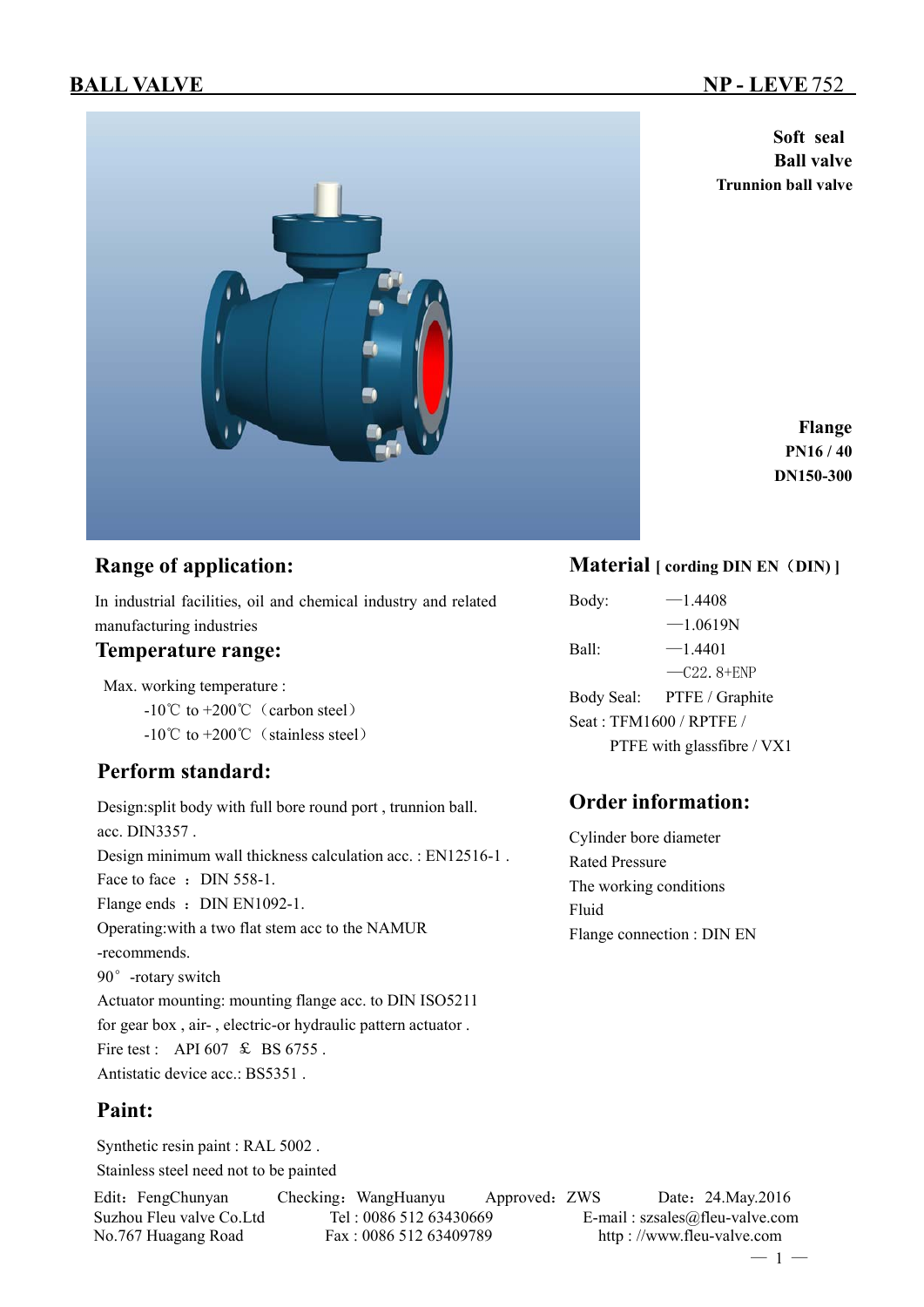**Soft seal Ball valve Trunnion ball valve**

> **Flange PN16 / 40 DN150-300**

## **Range of application:**

In industrial facilities, oil and chemical industry and related manufacturing industries

### **Temperature range:**

Max. working temperature :

 $-10^{\circ}$ C to  $+200^{\circ}$ C (carbon steel)

 $-10^{\circ}$ C to  $+200^{\circ}$  (stainless steel)

## **Perform standard:**

Design:split body with full bore round port , trunnion ball. acc. DIN3357 . Design minimum wall thickness calculation acc. : EN12516-1 . Face to face : DIN 558-1. Flange ends : DIN EN1092-1. Operating:with a two flat stem acc to the NAMUR -recommends. 90°-rotary switch Actuator mounting: mounting flange acc. to DIN ISO5211 for gear box , air- , electric-or hydraulic pattern actuator . Fire test : API 607 & BS 6755. Antistatic device acc.: BS5351 .

## **Paint:**

Synthetic resin paint : RAL 5002 . Stainless steel need not to be painted

Edit: FengChunyan Checking: WangHuanyu Approved: ZWS Date: 24.May.2016

**Material [ cording DIN EN**(**DIN) ]**

Body:  $-1.4408$  $-1.0619N$ Ball:  $-1.4401$  $-C22.8 + ENP$ Body Seal: PTFE / Graphite Seat : TFM1600 / RPTFE / PTFE with glassfibre / VX1

## **Order information:**

Cylinder bore diameter Rated Pressure The working conditions Fluid Flange connection : DIN EN

Suzhou Fleu valve Co.Ltd Tel : 0086 512 63430669 E-mail : szsales@fleu-valve.com No.767 Huagang Road Fax : 0086 512 63409789 http : //www.fleu-valve.com

 $-1 -$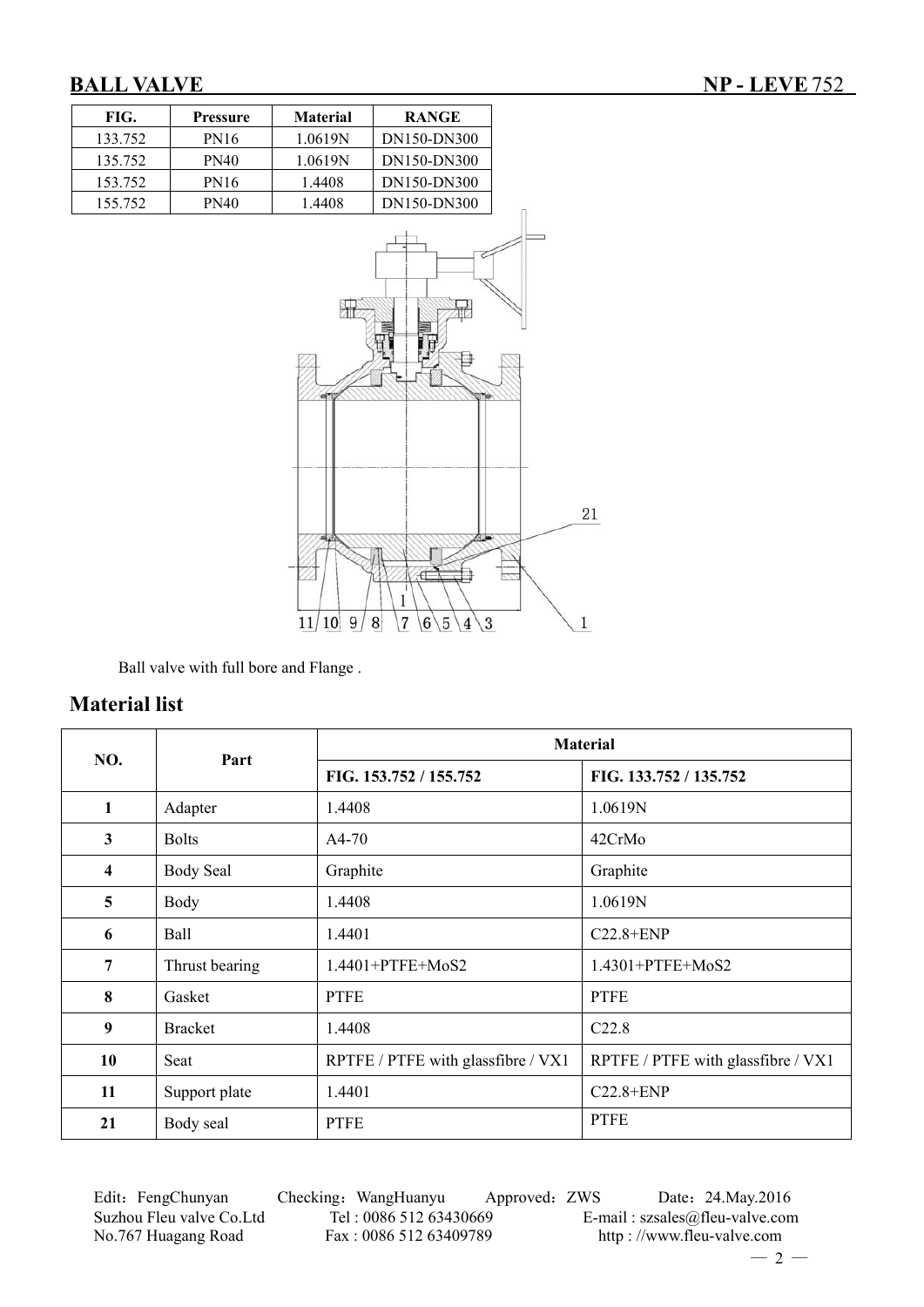

Ball valve with full bore and Flange .

## **Material list**

| NO.                     | Part             | <b>Material</b>                    |                                    |  |  |  |
|-------------------------|------------------|------------------------------------|------------------------------------|--|--|--|
|                         |                  | FIG. 153.752 / 155.752             | FIG. 133.752 / 135.752             |  |  |  |
| 1                       | Adapter          | 1.4408                             | 1.0619N                            |  |  |  |
| 3                       | <b>Bolts</b>     | $A4-70$                            | 42CrMo                             |  |  |  |
| $\overline{\mathbf{4}}$ | <b>Body Seal</b> | Graphite                           | Graphite                           |  |  |  |
| 5                       | Body             | 1.4408                             | 1.0619N                            |  |  |  |
| 6                       | Ball             | 1.4401                             | $C22.8 + ENP$                      |  |  |  |
| $\overline{7}$          | Thrust bearing   | $1.4401 + PTFE + MoS2$             | $1.4301 + PTFE + MoS2$             |  |  |  |
| 8                       | Gasket           | <b>PTFE</b>                        | <b>PTFE</b>                        |  |  |  |
| 9                       | <b>Bracket</b>   | 1.4408                             | C <sub>22.8</sub>                  |  |  |  |
| 10                      | Seat             | RPTFE / PTFE with glassfibre / VX1 | RPTFE / PTFE with glassfibre / VX1 |  |  |  |
| 11                      | Support plate    | 1.4401                             | $C22.8 + ENP$                      |  |  |  |
| 21                      | Body seal        | <b>PTFE</b>                        | <b>PTFE</b>                        |  |  |  |

Edit: FengChunyan Checking: WangHuanyu Approved: ZWS Date: 24.May.2016 Suzhou Fleu valve Co.Ltd Tel : 0086 512 63430669 E-mail : szsales@fleu-valve.com<br>No.767 Huagang Road Fax : 0086 512 63409789 http : //www.fleu-valve.com

http : //www.fleu-valve.com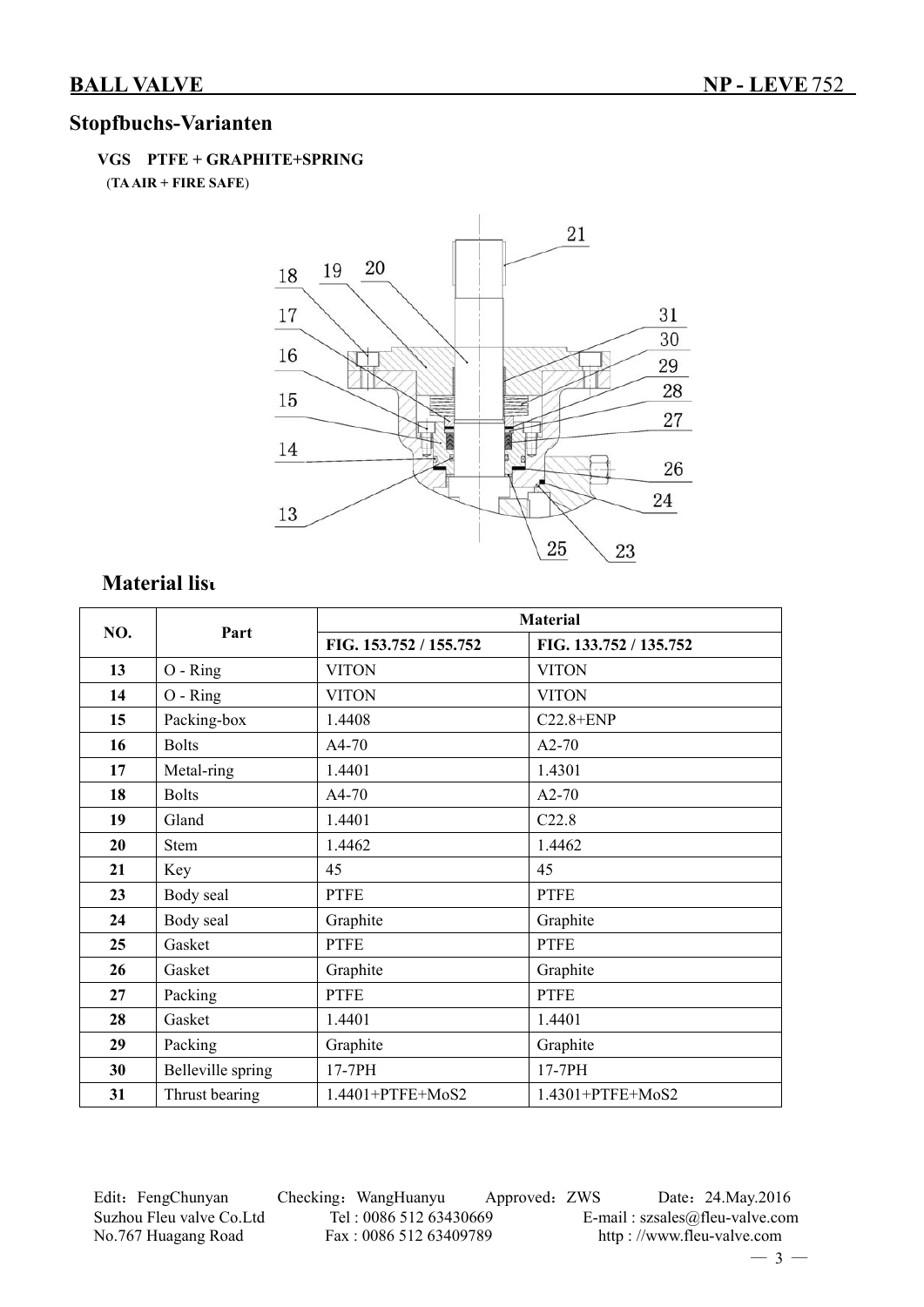## **Stopfbuchs-Varianten**

### **VGS PTFE + GRAPHITE+SPRING**

(**TA AIR + FIRE SAFE**)



# **Material list**

|     | Part              |                        | <b>Material</b>        |
|-----|-------------------|------------------------|------------------------|
| NO. |                   | FIG. 153.752 / 155.752 | FIG. 133.752 / 135.752 |
| 13  | O - Ring          | <b>VITON</b>           | <b>VITON</b>           |
| 14  | $O - Ring$        | <b>VITON</b>           | <b>VITON</b>           |
| 15  | Packing-box       | 1.4408                 | $C22.8 + ENP$          |
| 16  | <b>Bolts</b>      | A4-70                  | $A2-70$                |
| 17  | Metal-ring        | 1.4401                 | 1.4301                 |
| 18  | <b>Bolts</b>      | A4-70                  | $A2-70$                |
| 19  | Gland             | 1.4401                 | C22.8                  |
| 20  | <b>Stem</b>       | 1.4462                 | 1.4462                 |
| 21  | Key               | 45                     | 45                     |
| 23  | Body seal         | <b>PTFE</b>            | <b>PTFE</b>            |
| 24  | Body seal         | Graphite               | Graphite               |
| 25  | Gasket            | <b>PTFE</b>            | <b>PTFE</b>            |
| 26  | Gasket            | Graphite               | Graphite               |
| 27  | Packing           | <b>PTFE</b>            | <b>PTFE</b>            |
| 28  | Gasket            | 1.4401                 | 1.4401                 |
| 29  | Packing           | Graphite               | Graphite               |
| 30  | Belleville spring | 17-7PH                 | 17-7PH                 |
| 31  | Thrust bearing    | 1.4401+PTFE+MoS2       | 1.4301+PTFE+MoS2       |

Edit: FengChunyan Checking: WangHuanyu Approved: ZWS Date: 24.May.2016 Suzhou Fleu valve Co.Ltd Tel : 0086 512 63430669 E-mail : szsales@fleu-valve.com<br>No.767 Huagang Road Fax : 0086 512 63409789 http : //www.fleu-valve.com

http : //www.fleu-valve.com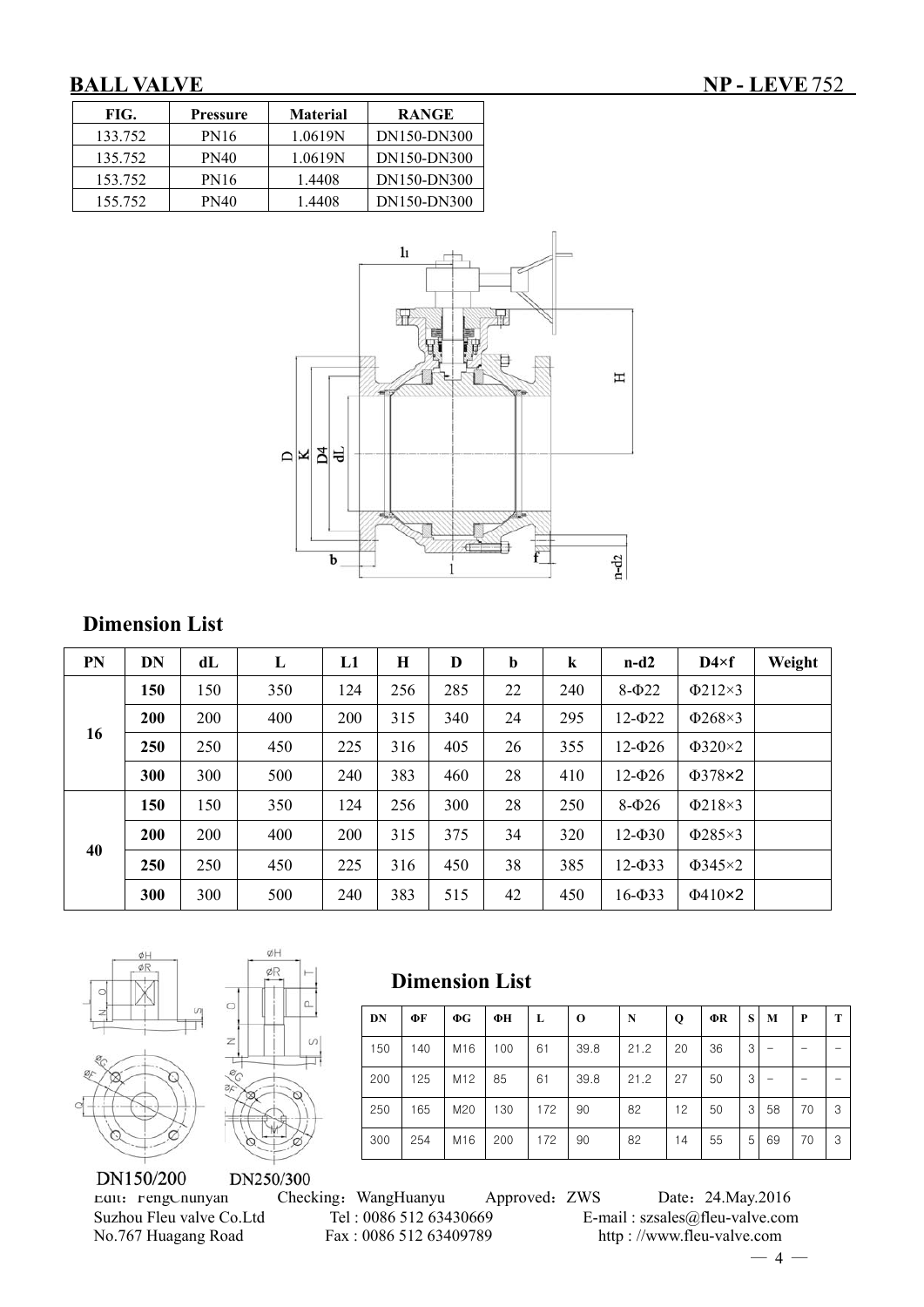| FIG.    | Pressure    | <b>Material</b> | <b>RANGE</b> |
|---------|-------------|-----------------|--------------|
| 133.752 | <b>PN16</b> | 1.0619N         | DN150-DN300  |
| 135.752 | PN40        | 1.0619N         | DN150-DN300  |
| 153.752 | PN16        | 1.4408          | DN150-DN300  |
| 155.752 | PN40        | 1.4408          | DN150-DN300  |



## **Dimension List**

| <b>PN</b> | DN  | dL  | L   | L1  | H   | D   | $\mathbf b$ | $\bf k$ | $n-d2$         | $D4 \times f$ | Weight |
|-----------|-----|-----|-----|-----|-----|-----|-------------|---------|----------------|---------------|--------|
|           | 150 | 150 | 350 | 124 | 256 | 285 | 22          | 240     | $8-\Phi$ 22    | $\Phi$ 212×3  |        |
|           | 200 | 200 | 400 | 200 | 315 | 340 | 24          | 295     | $12 - 022$     | $\Phi$ 268×3  |        |
| 16        | 250 | 250 | 450 | 225 | 316 | 405 | 26          | 355     | $12 - 026$     | $\Phi$ 320×2  |        |
|           | 300 | 300 | 500 | 240 | 383 | 460 | 28          | 410     | $12 - 026$     | $\Phi$ 378×2  |        |
|           | 150 | 150 | 350 | 124 | 256 | 300 | 28          | 250     | $8-026$        | $\Phi$ 218×3  |        |
|           | 200 | 200 | 400 | 200 | 315 | 375 | 34          | 320     | $12 - 030$     | $\Phi$ 285×3  |        |
| 40        | 250 | 250 | 450 | 225 | 316 | 450 | 38          | 385     | $12 - 033$     | $\Phi$ 345×2  |        |
|           | 300 | 300 | 500 | 240 | 383 | 515 | 42          | 450     | $16 - \Phi$ 33 | $\Phi$ 410×2  |        |





ØH

DN250/300

# **Dimension List**

| DN  | ФF  | $\Phi G$        | ФН  | L   | $\bf o$ | N    | Q  | ФR | S | M  | P  | т |
|-----|-----|-----------------|-----|-----|---------|------|----|----|---|----|----|---|
| 150 | 140 | M16             | 100 | 61  | 39.8    | 21.2 | 20 | 36 | 3 |    |    |   |
| 200 | 125 | M <sub>12</sub> | 85  | 61  | 39.8    | 21.2 | 27 | 50 | 3 |    |    |   |
| 250 | 165 | M20             | 130 | 172 | 90      | 82   | 12 | 50 | 3 | 58 | 70 | 3 |
| 300 | 254 | M16             | 200 | 172 | 90      | 82   | 14 | 55 | 5 | 69 | 70 | 3 |

Edit:FengChunyan Checking:WangHuanyu Approved:ZWS Date:24.May.2016 Suzhou Fleu valve Co.Ltd Tel : 0086 512 63430669 E-mail : szsales@fleu-valve.com<br>No.767 Huagang Road Fax : 0086 512 63409789 http : //www.fleu-valve.com http : //www.fleu-valve.com

 $-4-$